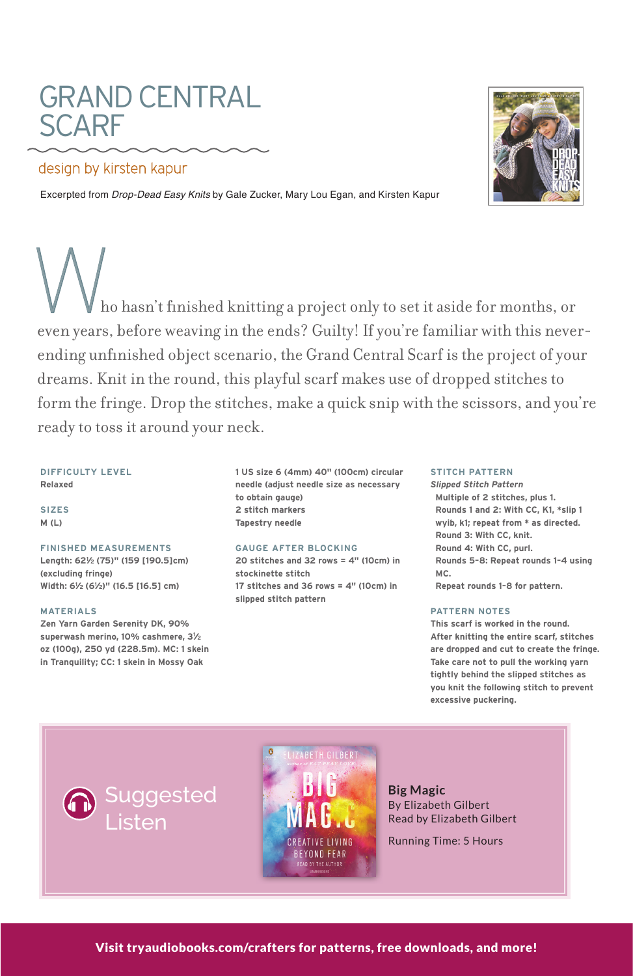# GRAND CENTRAL SCARF by the set of the set of the set of the set of the set of the set of the set of the set of the set of the set of the set of the set of the set of the set of the set of the set of the set of the set of the set of the SCARF GRAND CENTRAL GRAND design by kirsten by kirsten kapuran by konstantial by kirsten by kirsten kapuran by kirsten kapuran by kirste<br>Design by kirsten kapuran by kirsten kapuran by konstantial by konstantial by konstantial by konstantial by ko

# design by kirsten kapur

Excerpted from *Drop-Dead Easy Knits* by Gale Zucker, Mary Lou Egan, and Kirsten Kapur



ho hasn't finished knitting a project only to set it aside for months, or<br>even years, before weaving in the ends? Guilty! If you're familiar with this nevereven years, before weaving in the ends? Guilty! If you're familiar with this neverending unfinished object scenario, the Grand Central Scarf is the project of your dreams. Knit in the round, this playful scarf makes use of dropped stitches to form the fringe. Drop the stitches, make a quick snip with the scissors, and you're ready to toss it around your neck. ready to toss it around your neck. Who hasn't finished knitting a project only to set it aside for months, or Who hasn't finished knitting a project only to set it aside for months, or

### **DIFFICULTY LEVEL Relaxed**

**Relaxed SIZES M (L)**

## **FINISHED MEASUREMENTS**

**(excluding fringe)** *Width: 6<sup>1</sup>/<sub>2</sub> (6<sup>1</sup>/<sub>2</sub>)"* **(16.5 [16.5] cm) (excluding fringe) Length: 621 ⁄2 (75)" (159 [190.5]cm)** 

#### **MATERIALS ⁄2)" (16.5 [16.5] cm)**

**MATERIALS Zen Yarn Garden Serenity DK, 90%**   $Superwash merino, 10% cashmere, 3<sup>1</sup>/<sub>2</sub>$ **oz (100g), 250 yd (228.5m). MC: 1 skein** in Tranquility; CC: 1 skein in Mossy Oak

**10 obtain gauge) 2 stitch markers**  $Tapestry needle$ **1 US size 6 (4mm) 40" (100cm) circular needle (adjust needle size as necessary** 

### **GAUGE AFTER BLOCKING**

**stockinette stitch 20 stitches and 32 rows = 4" (10cm) in 17 stitches and 36 rows = 4" (10cm) in 20 stitches and 32 rows = 4" (10cm) in 17 stitute and 36 rows = 4.12 20 stitches and 32 rows = 4" (10cm) in** 

## **STITCH PATTERN**

**Multiple of 2 stitches, plus 1. Rounds 1 and 2: With CC, K1, \*slip 1** wyib, k1; repeat from \* as directed. **Round 3: With CC, knit. Round 4: With CC, purl. Rounds 5-8: Repeat rounds 1-4 using Round 4: With CC, purchase**  $\frac{1}{2}$ **Repeat rounds 1-8 for pattern.** *Slipped Stitch Pattern*

**PATTERN NOTES** 

**excessive puckering.**

**PATTERN NOTES This scarf is worked in the round. After knitting the entire scarf, stitches** are dropped and cut to create the fringe. Take care not to pull the working yarn **Take care not to pull the working yarn tightly behind the slipped stitches as are dropped and cut to create the fringe. you knit the following stitch to prevent excessive puckering.** 





**Big Magic** By Elizabeth Gilbert Read by Elizabeth Gilbert

Running Time: 5 Hours